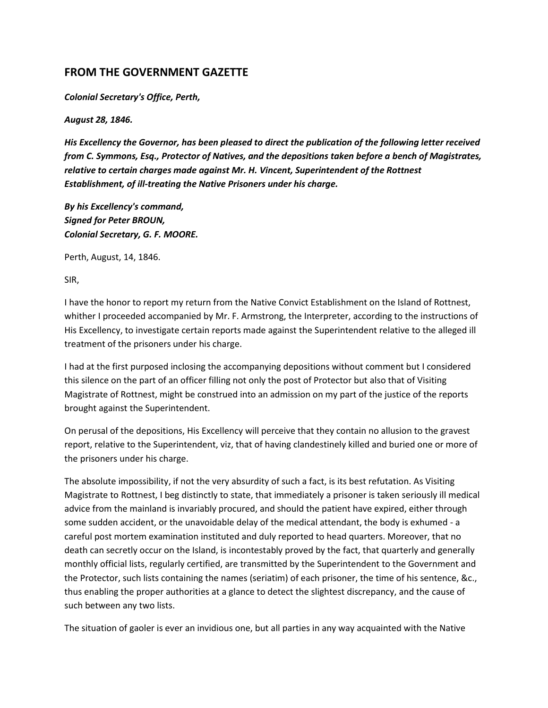# **FROM THE GOVERNMENT GAZETTE**

*Colonial Secretary's Office, Perth,*

*August 28, 1846.*

*His Excellency the Governor, has been pleased to direct the publication of the following letter received from C. Symmons, Esq., Protector of Natives, and the depositions taken before a bench of Magistrates, relative to certain charges made against Mr. H. Vincent, Superintendent of the Rottnest Establishment, of ill-treating the Native Prisoners under his charge.*

*By his Excellency's command, Signed for Peter BROUN, Colonial Secretary, G. F. MOORE.*

Perth, August, 14, 1846.

SIR,

I have the honor to report my return from the Native Convict Establishment on the Island of Rottnest, whither I proceeded accompanied by Mr. F. Armstrong, the Interpreter, according to the instructions of His Excellency, to investigate certain reports made against the Superintendent relative to the alleged ill treatment of the prisoners under his charge.

I had at the first purposed inclosing the accompanying depositions without comment but I considered this silence on the part of an officer filling not only the post of Protector but also that of Visiting Magistrate of Rottnest, might be construed into an admission on my part of the justice of the reports brought against the Superintendent.

On perusal of the depositions, His Excellency will perceive that they contain no allusion to the gravest report, relative to the Superintendent, viz, that of having clandestinely killed and buried one or more of the prisoners under his charge.

The absolute impossibility, if not the very absurdity of such a fact, is its best refutation. As Visiting Magistrate to Rottnest, I beg distinctly to state, that immediately a prisoner is taken seriously ill medical advice from the mainland is invariably procured, and should the patient have expired, either through some sudden accident, or the unavoidable delay of the medical attendant, the body is exhumed - a careful post mortem examination instituted and duly reported to head quarters. Moreover, that no death can secretly occur on the Island, is incontestably proved by the fact, that quarterly and generally monthly official lists, regularly certified, are transmitted by the Superintendent to the Government and the Protector, such lists containing the names (seriatim) of each prisoner, the time of his sentence, &c., thus enabling the proper authorities at a glance to detect the slightest discrepancy, and the cause of such between any two lists.

The situation of gaoler is ever an invidious one, but all parties in any way acquainted with the Native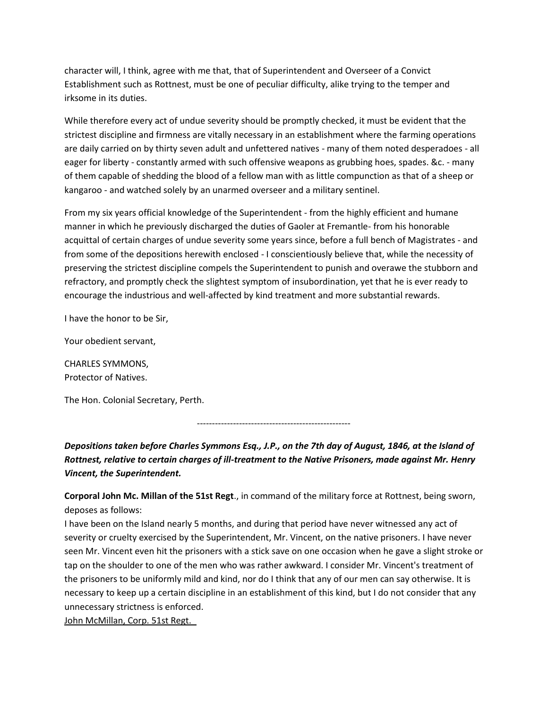character will, I think, agree with me that, that of Superintendent and Overseer of a Convict Establishment such as Rottnest, must be one of peculiar difficulty, alike trying to the temper and irksome in its duties.

While therefore every act of undue severity should be promptly checked, it must be evident that the strictest discipline and firmness are vitally necessary in an establishment where the farming operations are daily carried on by thirty seven adult and unfettered natives - many of them noted desperadoes - all eager for liberty - constantly armed with such offensive weapons as grubbing hoes, spades. &c. - many of them capable of shedding the blood of a fellow man with as little compunction as that of a sheep or kangaroo - and watched solely by an unarmed overseer and a military sentinel.

From my six years official knowledge of the Superintendent - from the highly efficient and humane manner in which he previously discharged the duties of Gaoler at Fremantle- from his honorable acquittal of certain charges of undue severity some years since, before a full bench of Magistrates - and from some of the depositions herewith enclosed - I conscientiously believe that, while the necessity of preserving the strictest discipline compels the Superintendent to punish and overawe the stubborn and refractory, and promptly check the slightest symptom of insubordination, yet that he is ever ready to encourage the industrious and well-affected by kind treatment and more substantial rewards.

I have the honor to be Sir,

Your obedient servant,

CHARLES SYMMONS, Protector of Natives.

The Hon. Colonial Secretary, Perth.

---------------------------------------------------

*Depositions taken before Charles Symmons Esq., J.P., on the 7th day of August, 1846, at the Island of Rottnest, relative to certain charges of ill-treatment to the Native Prisoners, made against Mr. Henry Vincent, the Superintendent.*

**Corporal John Mc. Millan of the 51st Regt**., in command of the military force at Rottnest, being sworn, deposes as follows:

I have been on the Island nearly 5 months, and during that period have never witnessed any act of severity or cruelty exercised by the Superintendent, Mr. Vincent, on the native prisoners. I have never seen Mr. Vincent even hit the prisoners with a stick save on one occasion when he gave a slight stroke or tap on the shoulder to one of the men who was rather awkward. I consider Mr. Vincent's treatment of the prisoners to be uniformly mild and kind, nor do I think that any of our men can say otherwise. It is necessary to keep up a certain discipline in an establishment of this kind, but I do not consider that any unnecessary strictness is enforced.

John McMillan, Corp. 51st Regt.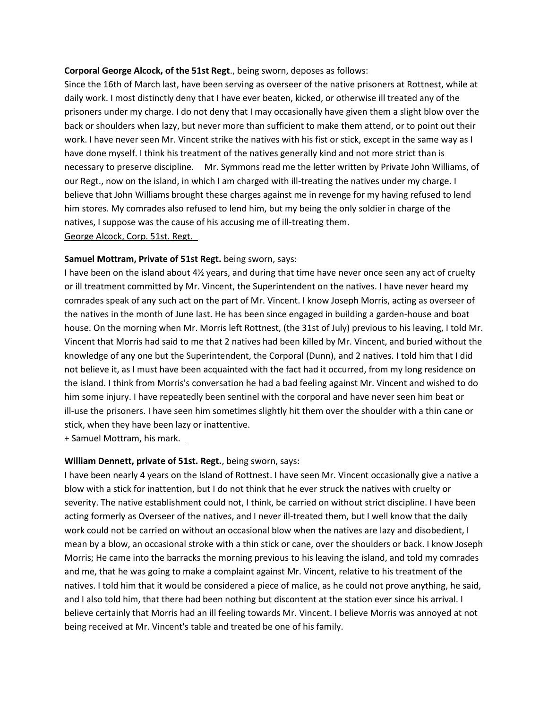### **Corporal George Alcock, of the 51st Regt**., being sworn, deposes as follows:

Since the 16th of March last, have been serving as overseer of the native prisoners at Rottnest, while at daily work. I most distinctly deny that I have ever beaten, kicked, or otherwise ill treated any of the prisoners under my charge. I do not deny that I may occasionally have given them a slight blow over the back or shoulders when lazy, but never more than sufficient to make them attend, or to point out their work. I have never seen Mr. Vincent strike the natives with his fist or stick, except in the same way as I have done myself. I think his treatment of the natives generally kind and not more strict than is necessary to preserve discipline. Mr. Symmons read me the letter written by Private John Williams, of our Regt., now on the island, in which I am charged with ill-treating the natives under my charge. I believe that John Williams brought these charges against me in revenge for my having refused to lend him stores. My comrades also refused to lend him, but my being the only soldier in charge of the natives, I suppose was the cause of his accusing me of ill-treating them. George Alcock, Corp. 51st. Regt.

### **Samuel Mottram, Private of 51st Regt.** being sworn, says:

I have been on the island about 4½ years, and during that time have never once seen any act of cruelty or ill treatment committed by Mr. Vincent, the Superintendent on the natives. I have never heard my comrades speak of any such act on the part of Mr. Vincent. I know Joseph Morris, acting as overseer of the natives in the month of June last. He has been since engaged in building a garden-house and boat house. On the morning when Mr. Morris left Rottnest, (the 31st of July) previous to his leaving, I told Mr. Vincent that Morris had said to me that 2 natives had been killed by Mr. Vincent, and buried without the knowledge of any one but the Superintendent, the Corporal (Dunn), and 2 natives. I told him that I did not believe it, as I must have been acquainted with the fact had it occurred, from my long residence on the island. I think from Morris's conversation he had a bad feeling against Mr. Vincent and wished to do him some injury. I have repeatedly been sentinel with the corporal and have never seen him beat or ill-use the prisoners. I have seen him sometimes slightly hit them over the shoulder with a thin cane or stick, when they have been lazy or inattentive.

+ Samuel Mottram, his mark.

### **William Dennett, private of 51st. Regt.**, being sworn, says:

I have been nearly 4 years on the Island of Rottnest. I have seen Mr. Vincent occasionally give a native a blow with a stick for inattention, but I do not think that he ever struck the natives with cruelty or severity. The native establishment could not, I think, be carried on without strict discipline. I have been acting formerly as Overseer of the natives, and I never ill-treated them, but I well know that the daily work could not be carried on without an occasional blow when the natives are lazy and disobedient, I mean by a blow, an occasional stroke with a thin stick or cane, over the shoulders or back. I know Joseph Morris; He came into the barracks the morning previous to his leaving the island, and told my comrades and me, that he was going to make a complaint against Mr. Vincent, relative to his treatment of the natives. I told him that it would be considered a piece of malice, as he could not prove anything, he said, and I also told him, that there had been nothing but discontent at the station ever since his arrival. I believe certainly that Morris had an ill feeling towards Mr. Vincent. I believe Morris was annoyed at not being received at Mr. Vincent's table and treated be one of his family.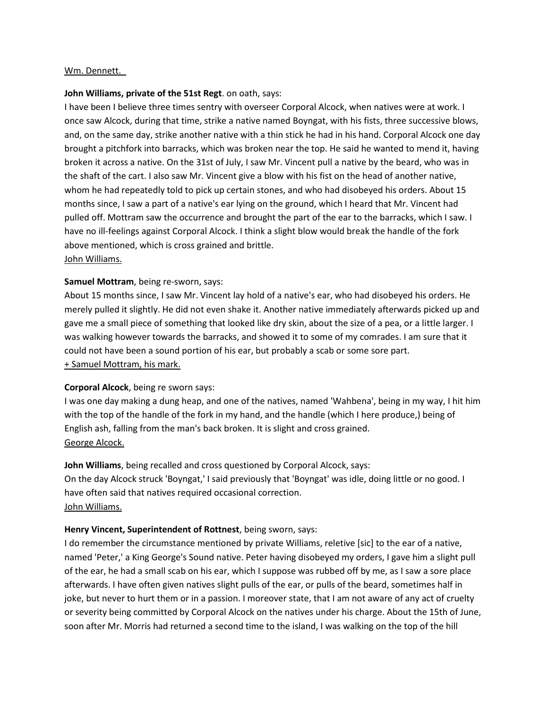### Wm. Dennett.

### **John Williams, private of the 51st Regt**. on oath, says:

I have been I believe three times sentry with overseer Corporal Alcock, when natives were at work. I once saw Alcock, during that time, strike a native named Boyngat, with his fists, three successive blows, and, on the same day, strike another native with a thin stick he had in his hand. Corporal Alcock one day brought a pitchfork into barracks, which was broken near the top. He said he wanted to mend it, having broken it across a native. On the 31st of July, I saw Mr. Vincent pull a native by the beard, who was in the shaft of the cart. I also saw Mr. Vincent give a blow with his fist on the head of another native, whom he had repeatedly told to pick up certain stones, and who had disobeyed his orders. About 15 months since, I saw a part of a native's ear lying on the ground, which I heard that Mr. Vincent had pulled off. Mottram saw the occurrence and brought the part of the ear to the barracks, which I saw. I have no ill-feelings against Corporal Alcock. I think a slight blow would break the handle of the fork above mentioned, which is cross grained and brittle. John Williams.

### **Samuel Mottram**, being re-sworn, says:

About 15 months since, I saw Mr. Vincent lay hold of a native's ear, who had disobeyed his orders. He merely pulled it slightly. He did not even shake it. Another native immediately afterwards picked up and gave me a small piece of something that looked like dry skin, about the size of a pea, or a little larger. I was walking however towards the barracks, and showed it to some of my comrades. I am sure that it could not have been a sound portion of his ear, but probably a scab or some sore part. + Samuel Mottram, his mark.

## **Corporal Alcock**, being re sworn says:

I was one day making a dung heap, and one of the natives, named 'Wahbena', being in my way, I hit him with the top of the handle of the fork in my hand, and the handle (which I here produce,) being of English ash, falling from the man's back broken. It is slight and cross grained. George Alcock.

**John Williams**, being recalled and cross questioned by Corporal Alcock, says: On the day Alcock struck 'Boyngat,' I said previously that 'Boyngat' was idle, doing little or no good. I have often said that natives required occasional correction. John Williams.

### **Henry Vincent, Superintendent of Rottnest**, being sworn, says:

I do remember the circumstance mentioned by private Williams, reletive [sic] to the ear of a native, named 'Peter,' a King George's Sound native. Peter having disobeyed my orders, I gave him a slight pull of the ear, he had a small scab on his ear, which I suppose was rubbed off by me, as I saw a sore place afterwards. I have often given natives slight pulls of the ear, or pulls of the beard, sometimes half in joke, but never to hurt them or in a passion. I moreover state, that I am not aware of any act of cruelty or severity being committed by Corporal Alcock on the natives under his charge. About the 15th of June, soon after Mr. Morris had returned a second time to the island, I was walking on the top of the hill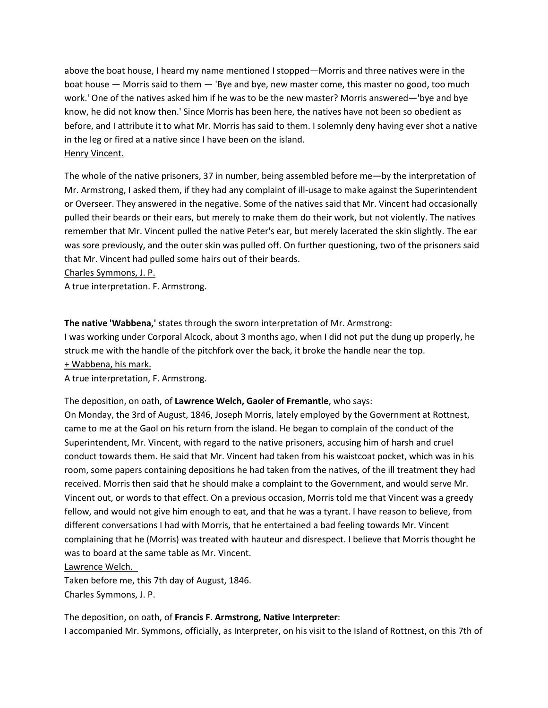above the boat house, I heard my name mentioned I stopped—Morris and three natives were in the boat house — Morris said to them — 'Bye and bye, new master come, this master no good, too much work.' One of the natives asked him if he was to be the new master? Morris answered—'bye and bye know, he did not know then.' Since Morris has been here, the natives have not been so obedient as before, and I attribute it to what Mr. Morris has said to them. I solemnly deny having ever shot a native in the leg or fired at a native since I have been on the island. Henry Vincent.

The whole of the native prisoners, 37 in number, being assembled before me—by the interpretation of Mr. Armstrong, I asked them, if they had any complaint of ill-usage to make against the Superintendent or Overseer. They answered in the negative. Some of the natives said that Mr. Vincent had occasionally pulled their beards or their ears, but merely to make them do their work, but not violently. The natives remember that Mr. Vincent pulled the native Peter's ear, but merely lacerated the skin slightly. The ear was sore previously, and the outer skin was pulled off. On further questioning, two of the prisoners said that Mr. Vincent had pulled some hairs out of their beards.

Charles Symmons, J. P.

A true interpretation. F. Armstrong.

**The native 'Wabbena,'** states through the sworn interpretation of Mr. Armstrong:

I was working under Corporal Alcock, about 3 months ago, when I did not put the dung up properly, he struck me with the handle of the pitchfork over the back, it broke the handle near the top. + Wabbena, his mark.

A true interpretation, F. Armstrong.

The deposition, on oath, of **Lawrence Welch, Gaoler of Fremantle**, who says:

On Monday, the 3rd of August, 1846, Joseph Morris, lately employed by the Government at Rottnest, came to me at the Gaol on his return from the island. He began to complain of the conduct of the Superintendent, Mr. Vincent, with regard to the native prisoners, accusing him of harsh and cruel conduct towards them. He said that Mr. Vincent had taken from his waistcoat pocket, which was in his room, some papers containing depositions he had taken from the natives, of the ill treatment they had received. Morris then said that he should make a complaint to the Government, and would serve Mr. Vincent out, or words to that effect. On a previous occasion, Morris told me that Vincent was a greedy fellow, and would not give him enough to eat, and that he was a tyrant. I have reason to believe, from different conversations I had with Morris, that he entertained a bad feeling towards Mr. Vincent complaining that he (Morris) was treated with hauteur and disrespect. I believe that Morris thought he was to board at the same table as Mr. Vincent.

Lawrence Welch.

Taken before me, this 7th day of August, 1846. Charles Symmons, J. P.

The deposition, on oath, of **Francis F. Armstrong, Native Interpreter**: I accompanied Mr. Symmons, officially, as Interpreter, on his visit to the Island of Rottnest, on this 7th of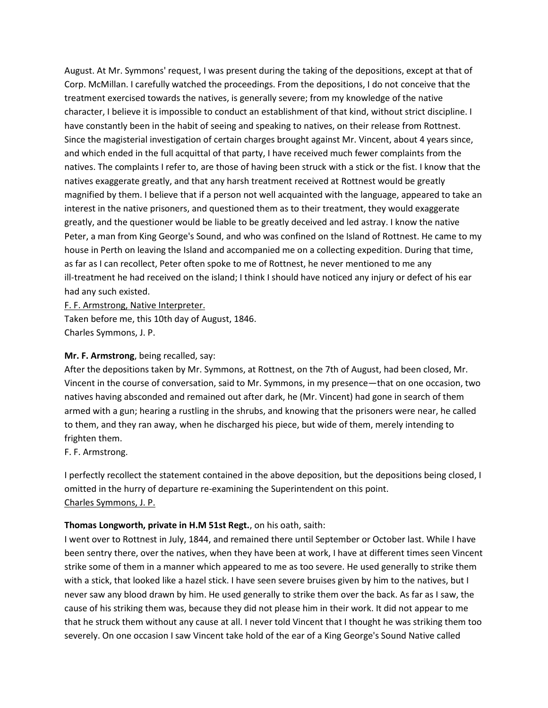August. At Mr. Symmons' request, I was present during the taking of the depositions, except at that of Corp. McMillan. I carefully watched the proceedings. From the depositions, I do not conceive that the treatment exercised towards the natives, is generally severe; from my knowledge of the native character, I believe it is impossible to conduct an establishment of that kind, without strict discipline. I have constantly been in the habit of seeing and speaking to natives, on their release from Rottnest. Since the magisterial investigation of certain charges brought against Mr. Vincent, about 4 years since, and which ended in the full acquittal of that party, I have received much fewer complaints from the natives. The complaints I refer to, are those of having been struck with a stick or the fist. I know that the natives exaggerate greatly, and that any harsh treatment received at Rottnest would be greatly magnified by them. I believe that if a person not well acquainted with the language, appeared to take an interest in the native prisoners, and questioned them as to their treatment, they would exaggerate greatly, and the questioner would be liable to be greatly deceived and led astray. I know the native Peter, a man from King George's Sound, and who was confined on the Island of Rottnest. He came to my house in Perth on leaving the Island and accompanied me on a collecting expedition. During that time, as far as I can recollect, Peter often spoke to me of Rottnest, he never mentioned to me any ill-treatment he had received on the island; I think I should have noticed any injury or defect of his ear had any such existed.

F. F. Armstrong, Native Interpreter.

Taken before me, this 10th day of August, 1846. Charles Symmons, J. P.

### **Mr. F. Armstrong**, being recalled, say:

After the depositions taken by Mr. Symmons, at Rottnest, on the 7th of August, had been closed, Mr. Vincent in the course of conversation, said to Mr. Symmons, in my presence—that on one occasion, two natives having absconded and remained out after dark, he (Mr. Vincent) had gone in search of them armed with a gun; hearing a rustling in the shrubs, and knowing that the prisoners were near, he called to them, and they ran away, when he discharged his piece, but wide of them, merely intending to frighten them.

F. F. Armstrong.

I perfectly recollect the statement contained in the above deposition, but the depositions being closed, I omitted in the hurry of departure re-examining the Superintendent on this point. Charles Symmons, J. P.

### **Thomas Longworth, private in H.M 51st Regt.**, on his oath, saith:

I went over to Rottnest in July, 1844, and remained there until September or October last. While I have been sentry there, over the natives, when they have been at work, I have at different times seen Vincent strike some of them in a manner which appeared to me as too severe. He used generally to strike them with a stick, that looked like a hazel stick. I have seen severe bruises given by him to the natives, but I never saw any blood drawn by him. He used generally to strike them over the back. As far as I saw, the cause of his striking them was, because they did not please him in their work. It did not appear to me that he struck them without any cause at all. I never told Vincent that I thought he was striking them too severely. On one occasion I saw Vincent take hold of the ear of a King George's Sound Native called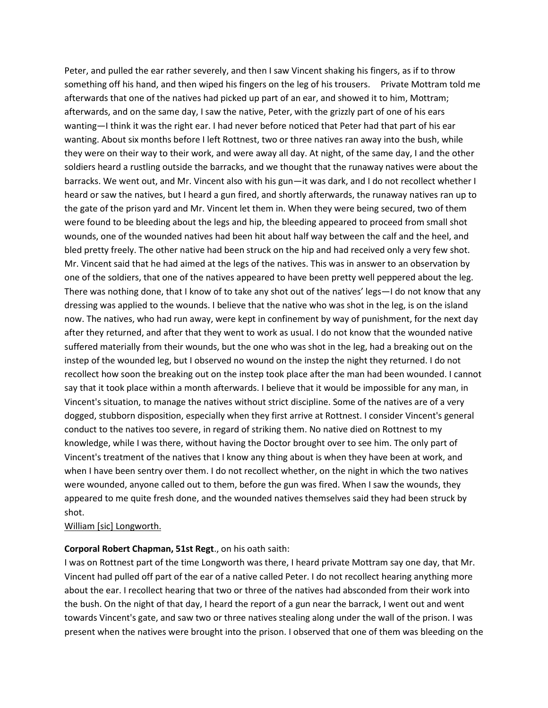Peter, and pulled the ear rather severely, and then I saw Vincent shaking his fingers, as if to throw something off his hand, and then wiped his fingers on the leg of his trousers. Private Mottram told me afterwards that one of the natives had picked up part of an ear, and showed it to him, Mottram; afterwards, and on the same day, I saw the native, Peter, with the grizzly part of one of his ears wanting—I think it was the right ear. I had never before noticed that Peter had that part of his ear wanting. About six months before I left Rottnest, two or three natives ran away into the bush, while they were on their way to their work, and were away all day. At night, of the same day, I and the other soldiers heard a rustling outside the barracks, and we thought that the runaway natives were about the barracks. We went out, and Mr. Vincent also with his gun—it was dark, and I do not recollect whether I heard or saw the natives, but I heard a gun fired, and shortly afterwards, the runaway natives ran up to the gate of the prison yard and Mr. Vincent let them in. When they were being secured, two of them were found to be bleeding about the legs and hip, the bleeding appeared to proceed from small shot wounds, one of the wounded natives had been hit about half way between the calf and the heel, and bled pretty freely. The other native had been struck on the hip and had received only a very few shot. Mr. Vincent said that he had aimed at the legs of the natives. This was in answer to an observation by one of the soldiers, that one of the natives appeared to have been pretty well peppered about the leg. There was nothing done, that I know of to take any shot out of the natives' legs—I do not know that any dressing was applied to the wounds. I believe that the native who was shot in the leg, is on the island now. The natives, who had run away, were kept in confinement by way of punishment, for the next day after they returned, and after that they went to work as usual. I do not know that the wounded native suffered materially from their wounds, but the one who was shot in the leg, had a breaking out on the instep of the wounded leg, but I observed no wound on the instep the night they returned. I do not recollect how soon the breaking out on the instep took place after the man had been wounded. I cannot say that it took place within a month afterwards. I believe that it would be impossible for any man, in Vincent's situation, to manage the natives without strict discipline. Some of the natives are of a very dogged, stubborn disposition, especially when they first arrive at Rottnest. I consider Vincent's general conduct to the natives too severe, in regard of striking them. No native died on Rottnest to my knowledge, while I was there, without having the Doctor brought over to see him. The only part of Vincent's treatment of the natives that I know any thing about is when they have been at work, and when I have been sentry over them. I do not recollect whether, on the night in which the two natives were wounded, anyone called out to them, before the gun was fired. When I saw the wounds, they appeared to me quite fresh done, and the wounded natives themselves said they had been struck by shot.

#### William [sic] Longworth.

#### **Corporal Robert Chapman, 51st Regt**., on his oath saith:

I was on Rottnest part of the time Longworth was there, I heard private Mottram say one day, that Mr. Vincent had pulled off part of the ear of a native called Peter. I do not recollect hearing anything more about the ear. I recollect hearing that two or three of the natives had absconded from their work into the bush. On the night of that day, I heard the report of a gun near the barrack, I went out and went towards Vincent's gate, and saw two or three natives stealing along under the wall of the prison. I was present when the natives were brought into the prison. I observed that one of them was bleeding on the